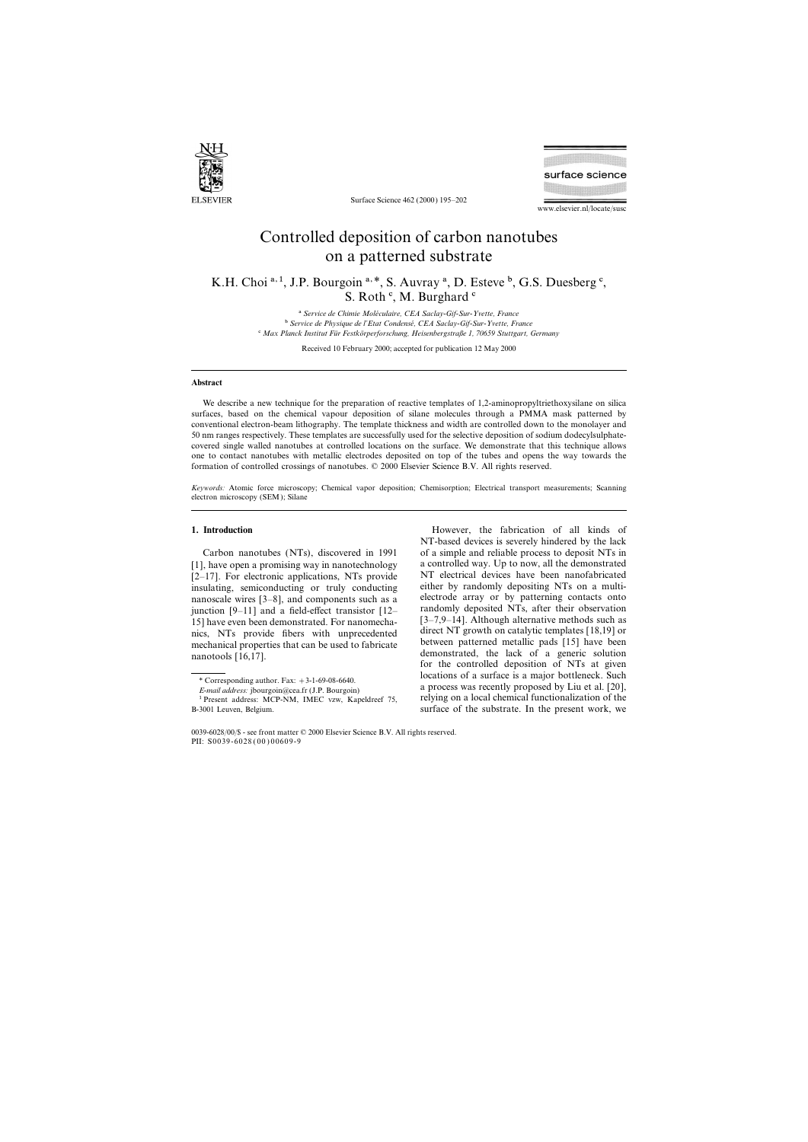

Surface Science 462 (2000) 195–202

surface science

www.elsevier.nl/locate/susc

# Controlled deposition of carbon nanotubes on a patterned substrate

K.H. Choi  $a, 1$ , J.P. Bourgoin  $a, *$ , S. Auvray  $a$ , D. Esteve  $b$ , G.S. Duesberg  $c$ , S. Roth<sup>c</sup>, M. Burghard<sup>c</sup>

> <sup>a</sup> Service de Chimie Moléculaire, CEA Saclay-Gif-Sur-Yvette, France b *Service de Physique de l'Etat Condense´, CEA Saclay-Gif-Sur-Yvette, France* c *Max Planck Institut Fu¨r Festko¨rperforschung, Heisenbergstraße 1, 70659 Stuttgart, Germany*

> > Received 10 February 2000; accepted for publication 12 May 2000

## **Abstract**

We describe a new technique for the preparation of reactive templates of 1,2-aminopropyltriethoxysilane on silica surfaces, based on the chemical vapour deposition of silane molecules through a PMMA mask patterned by conventional electron-beam lithography. The template thickness and width are controlled down to the monolayer and 50 nm ranges respectively. These templates are successfully used for the selective deposition of sodium dodecylsulphatecovered single walled nanotubes at controlled locations on the surface. We demonstrate that this technique allows one to contact nanotubes with metallic electrodes deposited on top of the tubes and opens the way towards the formation of controlled crossings of nanotubes. © 2000 Elsevier Science B.V. All rights reserved.

*Keywords:* Atomic force microscopy; Chemical vapor deposition; Chemisorption; Electrical transport measurements; Scanning electron microscopy (SEM); Silane

[1], have open a promising way in nanotechnology a controlled way. Up to now, all the demonstrated  $[2-17]$ . For electronic applications. NTs provide  $\overline{NT}$  electrical devices have been nanofabricated  $[2-17]$ . For electronic applications, NTs provide  $[2-17]$  electrical devices have been nanofabricated insulating semiconducting or truly conducting either by randomly depositing NTs on a multiinsulating, semiconducting or truly conducting either by randomly depositing NTs on a multi-<br>nanoscale wires [3–8], and components such as a electrode array or by patterning contacts onto nanoscale wires  $[3-8]$ , and components such as a electrode array or by patterning contacts onto<br>iunction  $[9-11]$  and a field-effect transistor  $[12]$  randomly deposited NTs, after their observation junction  $[9-11]$  and a field-effect transistor  $[12-$  randomly deposited NTs, after their observation<br>15) have even been demonstrated For nanomecha. [3-7.9-14]. Although alternative methods such as 15] have even been demonstrated. For nanomecha-<br>nics NTs, provide fibers with unprecedented direct NT growth on catalytic templates [18,19] or nics, NTs provide fibers with unprecedented direct NT growth on catalytic templates [18,19] or<br>mechanical properties that can be used to fabricate between patterned metallic pads [15] have been mechanical properties that can be used to fabricate between patterned metallic pads [15] have been<br>demonstrated, the lack of a generic solution

**1. Introduction 1. Introduction 1. Introduction 1. Introduction 1. Introduction** NT-based devices is severely hindered by the lack Carbon nanotubes (NTs), discovered in 1991 of a simple and reliable process to deposit NTs in nanotools [16,17]. **demonstrated**, the lack of a generic solution of NTs at given <sup>\*</sup> Corresponding author. Fax: +3-1-69-08-6640.<br> *E-mail address:* jbourgoin@cea.fr (J.P. Bourgoin) a process was recently proposed by Liu et al. [20],<br>
<sup>1</sup> Present address: MCP-NM IMEC vzw. Kapeldreef 75 relying on a loca

<sup>&</sup>lt;sup>1</sup> Present address: MCP-NM, IMEC vzw, Kapeldreef 75, B-3001 Leuven, Belgium. Surface of the substrate. In the present work, we

<sup>0039-6028</sup>/00/\$ - see front matter © 2000 Elsevier Science B.V. All rights reserved. PII: S0039-6028 ( 00 ) 00609-9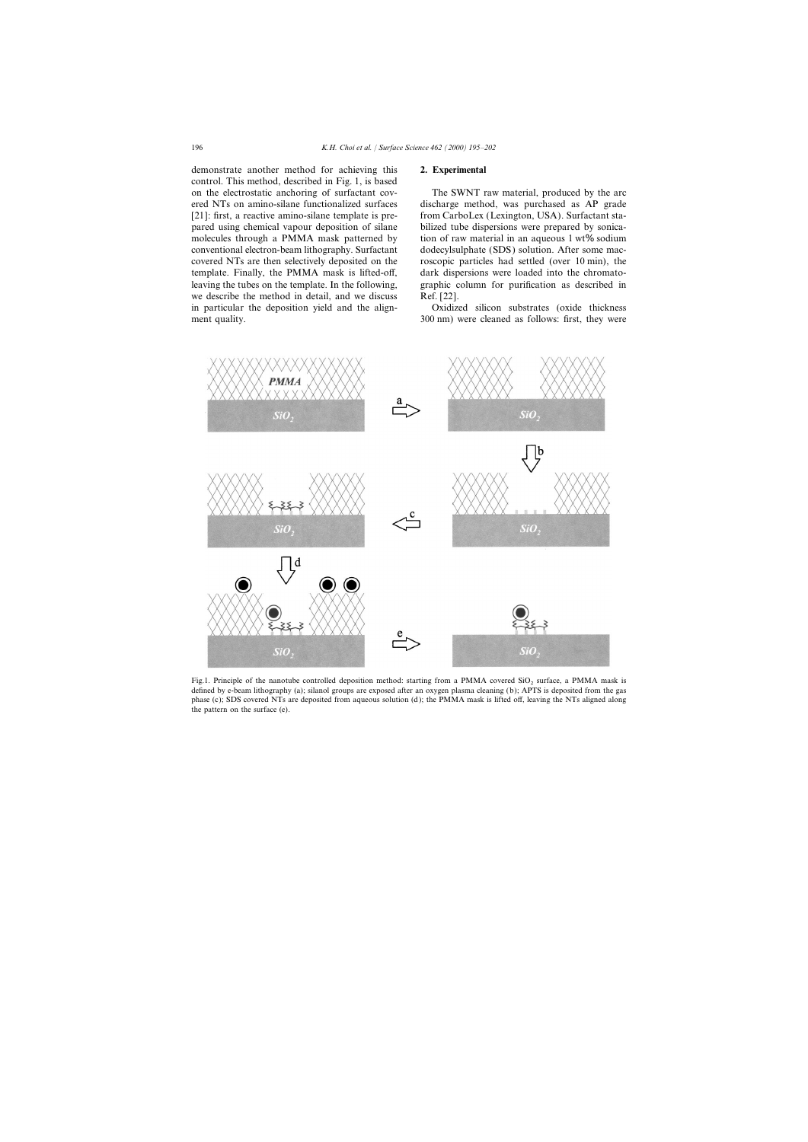demonstrate another method for achieving this **2. Experimental** control. This method, described in Fig. 1, is based on the electrostatic anchoring of surfactant cov- The SWNT raw material, produced by the arc we describe the method in detail, and we discuss Ref. [22]. in particular the deposition yield and the align- Oxidized silicon substrates (oxide thickness ment quality. 300 nm) were cleaned as follows: first, they were

ered NTs on amino-silane functionalized surfaces discharge method, was purchased as AP grade [21]: first, a reactive amino-silane template is pre-<br>from CarboLex (Lexington, USA). Surfactant stapared using chemical vapour deposition of silane bilized tube dispersions were prepared by sonicamolecules through a PMMA mask patterned by tion of raw material in an aqueous  $1 wt\%$  sodium conventional electron-beam lithography. Surfactant dodecylsulphate (SDS) solution. After some maccovered NTs are then selectively deposited on the roscopic particles had settled (over 10 min), the template. Finally, the PMMA mask is lifted-off, dark dispersions were loaded into the chromatoleaving the tubes on the template. In the following, graphic column for purification as described in



Fig.1. Principle of the nanotube controlled deposition method: starting from a PMMA covered SiO<sub>2</sub> surface, a PMMA mask is defined by e-beam lithography (a); silanol groups are exposed after an oxygen plasma cleaning (b); APTS is deposited from the gas phase (c); SDS covered NTs are deposited from aqueous solution (d); the PMMA mask is lifted off, leaving the NTs aligned along the pattern on the surface (e).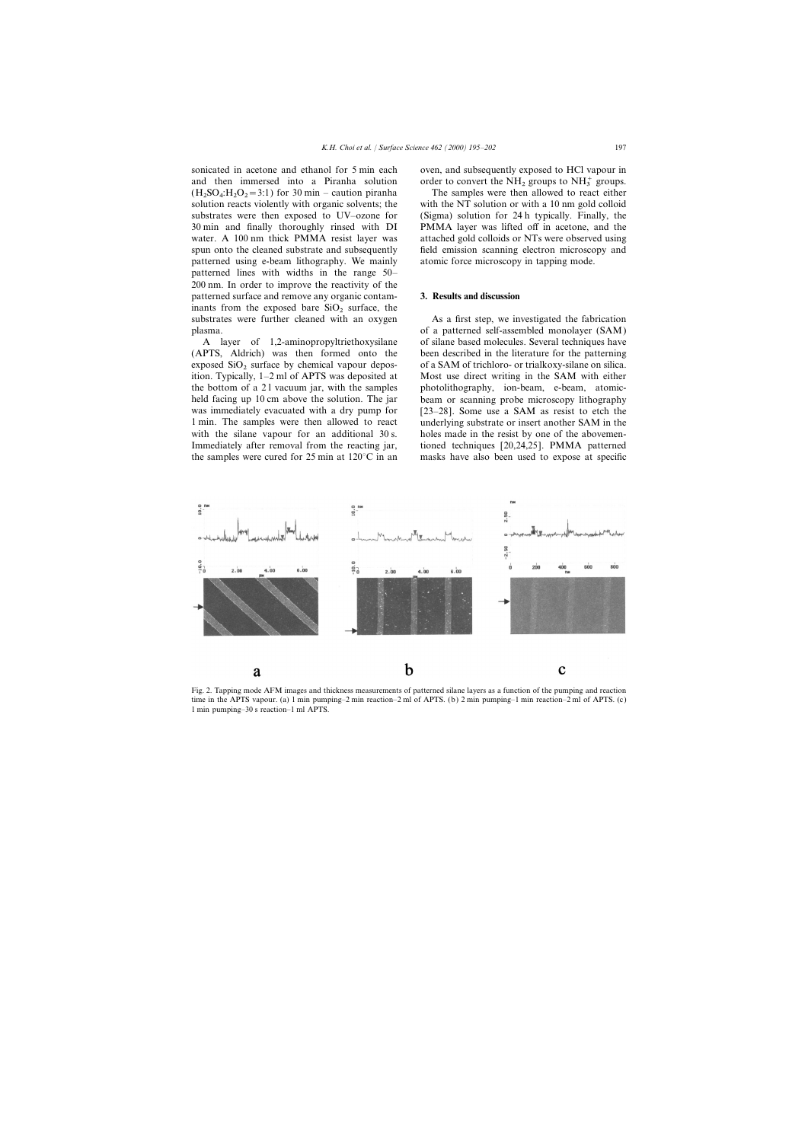sonicated in acetone and ethanol for 5 min each oven, and subsequently exposed to HCl vapour in and then immersed into a Piranha solution order to convert the  $NH_2$  groups to  $NH_3^+$  groups.  $(H_2SO_4:H_2O_2)$ solution reacts violently with organic solvents; the with the NT solution or with a 10 nm gold colloid substrates were then exposed to UV–ozone for (Sigma) solution for 24 h typically. Finally, the 30 min and finally thoroughly rinsed with DI PMMA layer was lifted off in acetone, and the water. A 100 nm thick PMMA resist layer was attached gold colloids or NTs were observed using spun onto the cleaned substrate and subsequently field emission scanning electron microscopy and patterned using e-beam lithography. We mainly atomic force microscopy in tapping mode. patterned lines with widths in the range 50– 200 nm. In order to improve the reactivity of the patterned surface and remove any organic contam- **3. Results and discussion** inants from the exposed bare  $SiO<sub>2</sub>$  surface, the

ition. Typically,  $1-2$  ml of APTS was deposited at

The samples were then allowed to react either

substrates were further cleaned with an oxygen As a first step, we investigated the fabrication plasma. of a patterned self-assembled monolayer (SAM) A layer of 1,2-aminopropyltriethoxysilane of silane based molecules. Several techniques have (APTS, Aldrich) was then formed onto the been described in the literature for the patterning exposed  $SiO<sub>2</sub>$  surface by chemical vapour depos-<br>ition. Typically,  $1-2$  ml of APTS was deposited at Most use direct writing in the SAM with either the bottom of a 21 vacuum jar, with the samples photolithography, ion-beam, e-beam, atomicheld facing up 10 cm above the solution. The jar beam or scanning probe microscopy lithography was immediately evacuated with a dry pump for [23–28]. Some use a SAM as resist to etch the 1 min. The samples were then allowed to react underlying substrate or insert another SAM in the with the silane vapour for an additional 30 s. holes made in the resist by one of the abovemen-Immediately after removal from the reacting jar, tioned techniques [20,24,25]. PMMA patterned the samples were cured for 25 min at  $120^{\circ}$ C in an masks have also been used to expose at specific



Fig. 2. Tapping mode AFM images and thickness measurements of patterned silane layers as a function of the pumping and reaction time in the APTS vapour. (a) 1 min pumping–2 min reaction–2 ml of APTS. (b) 2 min pumping–1 min reaction–2 ml of APTS. (c) 1 min pumping–30 s reaction–1 ml APTS.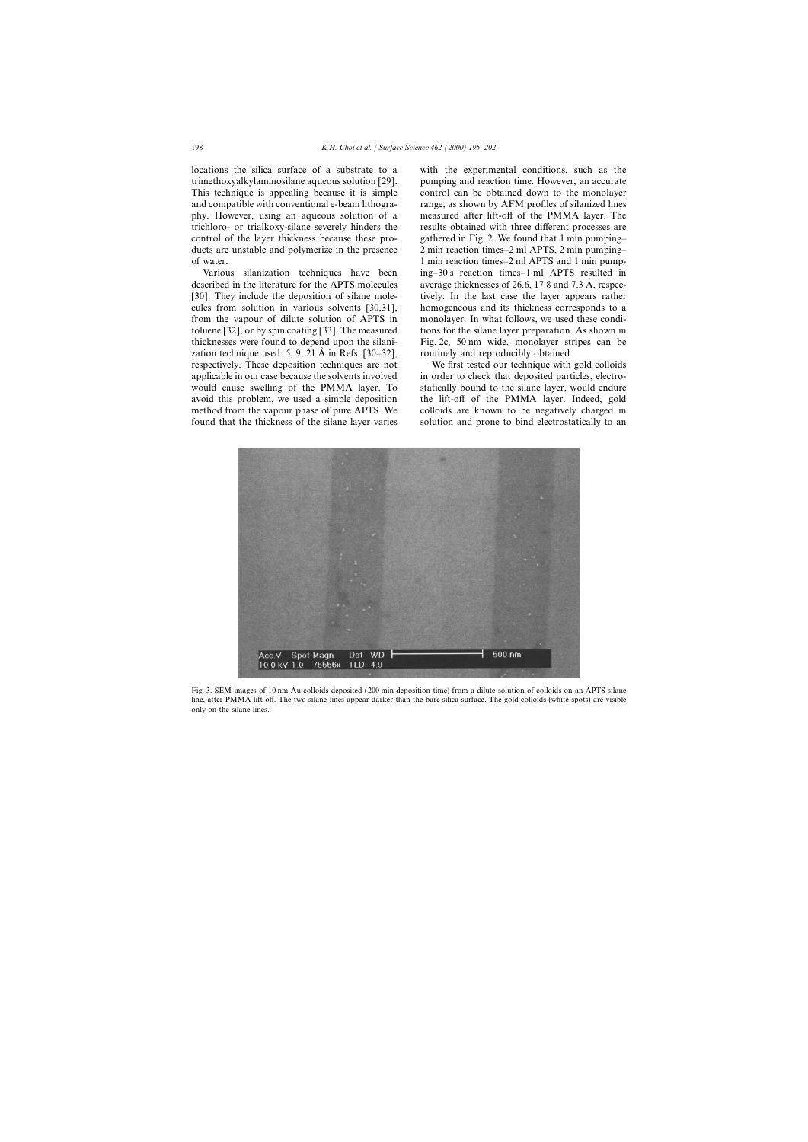locations the silica surface of a substrate to a with the experimental conditions, such as the

described in the literature for the APTS molecules average thicknesses of 26.6, 17.8 and 7.3 Å, respeczation technique used: 5, 9, 21  $\AA$  in Refs. [30–32], routinely and reproducibly obtained. respectively. These deposition techniques are not We first tested our technique with gold colloids found that the thickness of the silane layer varies solution and prone to bind electrostatically to an

trimethoxyalkylaminosilane aqueous solution [29]. pumping and reaction time. However, an accurate This technique is appealing because it is simple control can be obtained down to the monolayer and compatible with conventional e-beam lithogra- range, as shown by AFM profiles of silanized lines phy. However, using an aqueous solution of a measured after lift-off of the PMMA layer. The trichloro- or trialkoxy-silane severely hinders the results obtained with three different processes are control of the layer thickness because these pro- gathered in Fig. 2. We found that 1 min pumping– ducts are unstable and polymerize in the presence 2 min reaction times–2 ml APTS, 2 min pumping– of water. 1 min reaction times–2 ml APTS and 1 min pump-Various silanization techniques have been ing–30 s reaction times–1 ml APTS resulted in [30]. They include the deposition of silane mole- tively. In the last case the layer appears rather cules from solution in various solvents [30,31], homogeneous and its thickness corresponds to a from the vapour of dilute solution of APTS in monolayer. In what follows, we used these conditoluene [32], or by spin coating [33]. The measured tions for the silane layer preparation. As shown in thicknesses were found to depend upon the silani- Fig. 2c, 50 nm wide, monolayer stripes can be

applicable in our case because the solvents involved in order to check that deposited particles, electrowould cause swelling of the PMMA layer. To statically bound to the silane layer, would endure avoid this problem, we used a simple deposition the lift-off of the PMMA layer. Indeed, gold method from the vapour phase of pure APTS. We colloids are known to be negatively charged in



Fig. 3. SEM images of 10 nm Au colloids deposited (200 min deposition time) from a dilute solution of colloids on an APTS silane line, after PMMA lift-off. The two silane lines appear darker than the bare silica surface. The gold colloids (white spots) are visible only on the silane lines.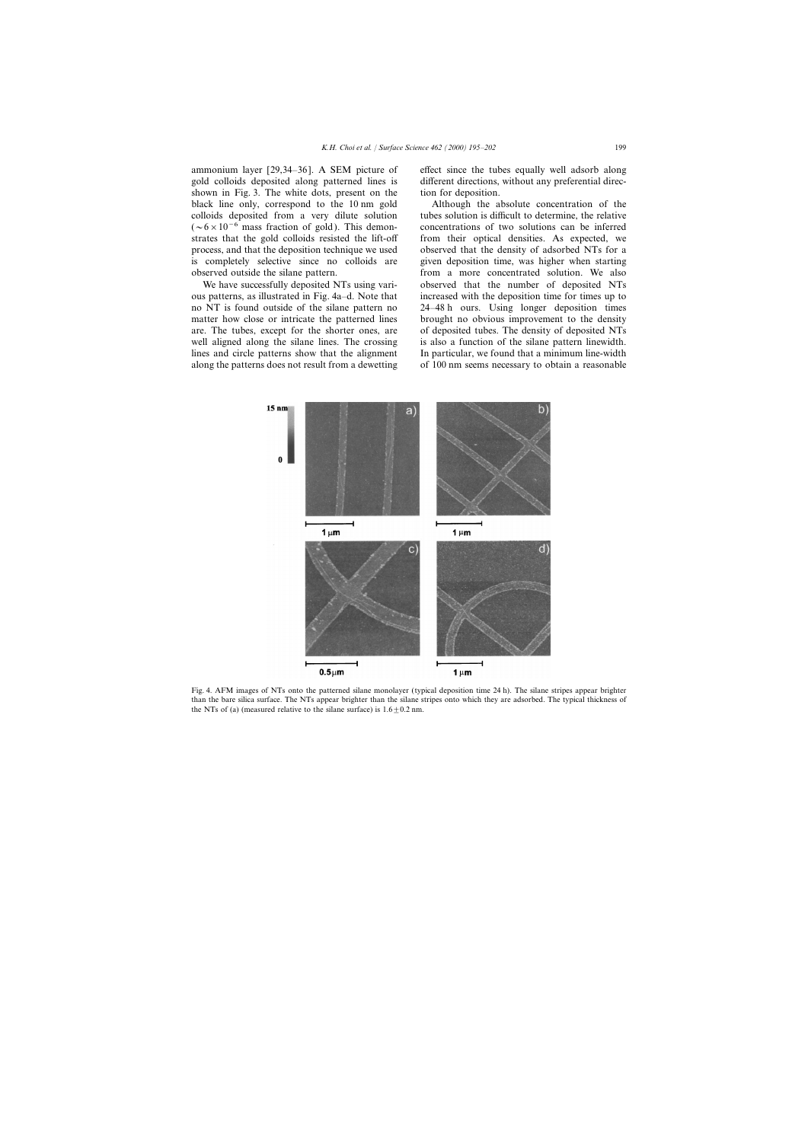ammonium layer [29,34–36]. A SEM picture of effect since the tubes equally well adsorb along gold colloids deposited along patterned lines is different directions, without any preferential direcshown in Fig. 3. The white dots, present on the tion for deposition. black line only, correspond to the 10 nm gold Although the absolute concentration of the colloids deposited from a very dilute solution tubes solution is difficult to determine, the relative  $(-6\times10^{-6}$  mass fraction of gold). This demon- concentrations of two solutions can be inferred strates that the gold colloids resisted the lift-off from their optical densities. As expected, we process, and that the deposition technique we used observed that the density of adsorbed NTs for a is completely selective since no colloids are given deposition time, was higher when starting

ous patterns, as illustrated in Fig. 4a–d. Note that increased with the deposition time for times up to no NT is found outside of the silane pattern no 24–48 h ours. Using longer deposition times matter how close or intricate the patterned lines brought no obvious improvement to the density are. The tubes, except for the shorter ones, are of deposited tubes. The density of deposited NTs well aligned along the silane lines. The crossing is also a function of the silane pattern linewidth. lines and circle patterns show that the alignment In particular, we found that a minimum line-width along the patterns does not result from a dewetting of 100 nm seems necessary to obtain a reasonable

observed outside the silane pattern. from a more concentrated solution. We also We have successfully deposited NTs using vari-<br>betweed that the number of deposited NTs



Fig. 4. AFM images of NTs onto the patterned silane monolayer (typical deposition time 24 h). The silane stripes appear brighter than the bare silica surface. The NTs appear brighter than the silane stripes onto which they are adsorbed. The typical thickness of the NTs of (a) (measured relative to the silane surface) is  $1.6+0.2$  nm.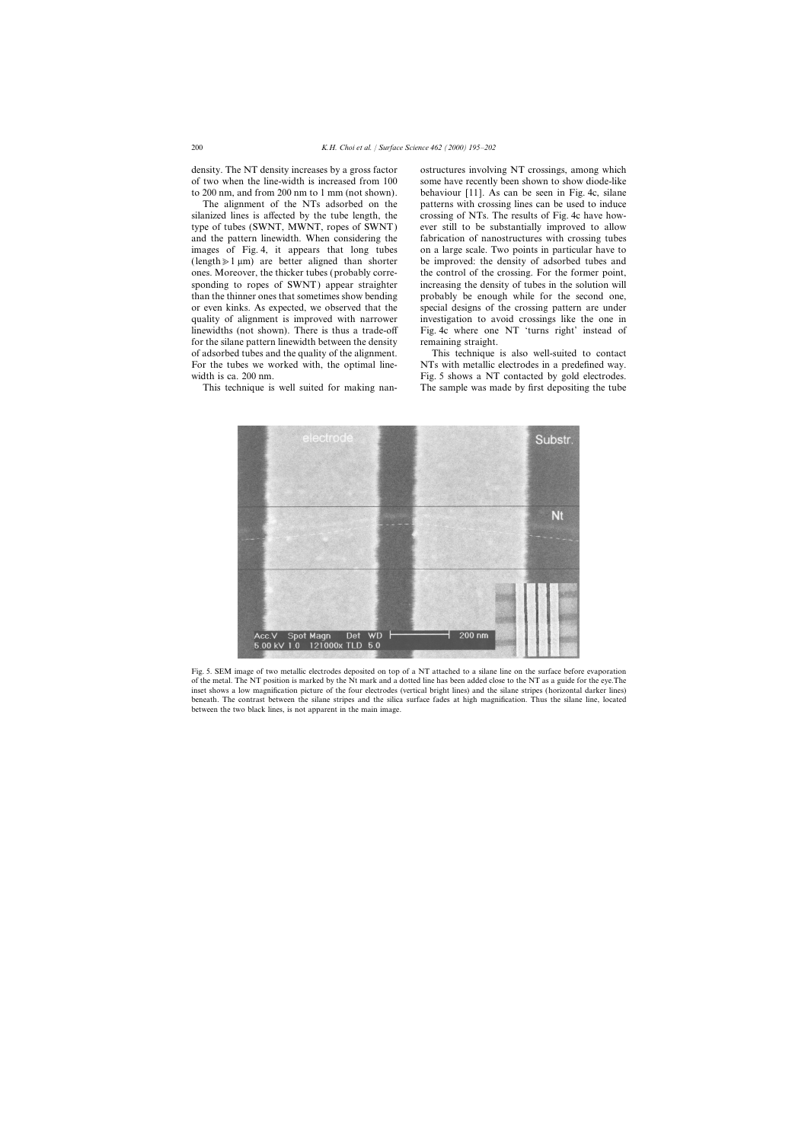density. The NT density increases by a gross factor ostructures involving NT crossings, among which

silanized lines is affected by the tube length, the crossing of NTs. The results of Fig. 4c have howtype of tubes (SWNT, MWNT, ropes of SWNT) ever still to be substantially improved to allow and the pattern linewidth. When considering the fabrication of nanostructures with crossing tubes images of Fig. 4, it appears that long tubes on a large scale. Two points in particular have to (length $\geq 1 \,\mu\text{m}$ ) are better aligned than shorter be improved: the density of adsorbed tubes and ones. Moreover, the thicker tubes (probably corre- the control of the crossing. For the former point, sponding to ropes of SWNT) appear straighter increasing the density of tubes in the solution will than the thinner ones that sometimes show bending probably be enough while for the second one, or even kinks. As expected, we observed that the special designs of the crossing pattern are under quality of alignment is improved with narrower investigation to avoid crossings like the one in for the silane pattern linewidth between the density remaining straight. of adsorbed tubes and the quality of the alignment. This technique is also well-suited to contact

of two when the line-width is increased from 100 some have recently been shown to show diode-like to 200 nm, and from 200 nm to 1 mm (not shown). behaviour [11]. As can be seen in Fig. 4c, silane The alignment of the NTs adsorbed on the patterns with crossing lines can be used to induce linewidths (not shown). There is thus a trade-off Fig. 4c where one NT 'turns right' instead of

For the tubes we worked with, the optimal line-<br>NTs with metallic electrodes in a predefined way. width is ca. 200 nm. Fig. 5 shows a NT contacted by gold electrodes. This technique is well suited for making nan- The sample was made by first depositing the tube



Fig. 5. SEM image of two metallic electrodes deposited on top of a NT attached to a silane line on the surface before evaporation of the metal. The NT position is marked by the Nt mark and a dotted line has been added close to the NT as a guide for the eye.The inset shows a low magnification picture of the four electrodes (vertical bright lines) and the silane stripes (horizontal darker lines) beneath. The contrast between the silane stripes and the silica surface fades at high magnification. Thus the silane line, located between the two black lines, is not apparent in the main image.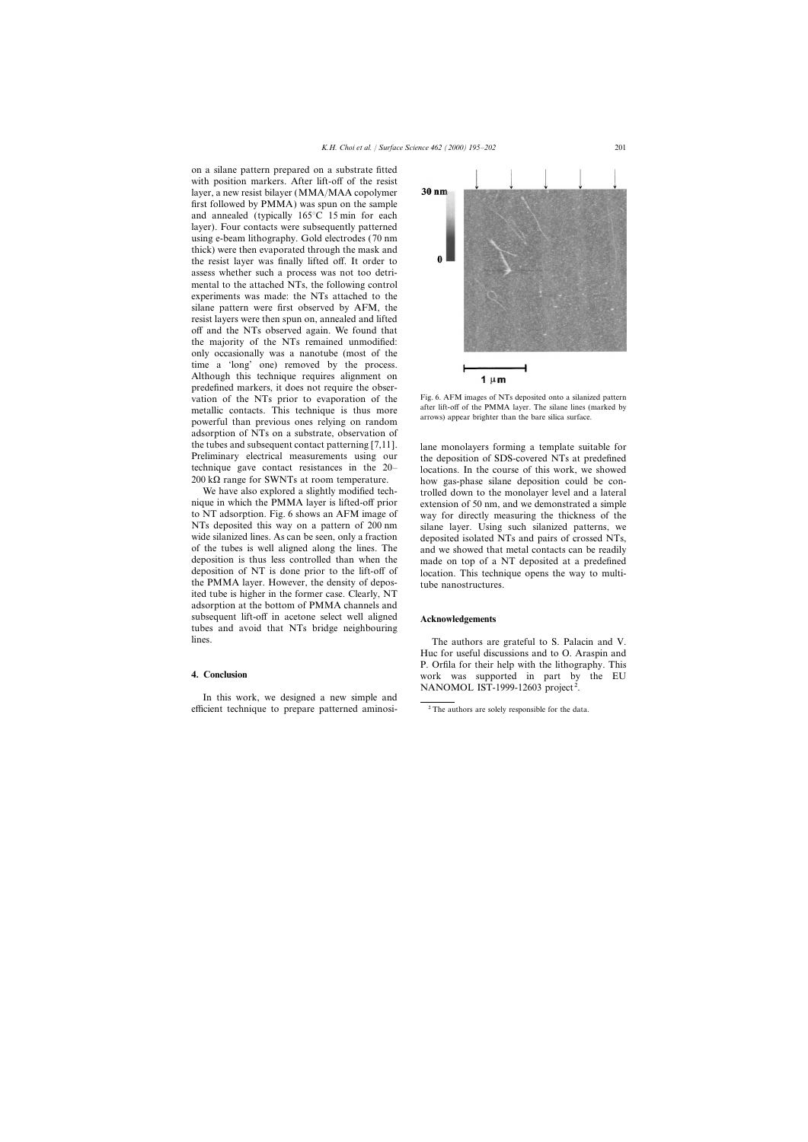on a silane pattern prepared on a substrate fitted with position markers. After lift-off of the resist layer, a new resist bilayer (MMA/MAA copolymer first followed by PMMA) was spun on the sample and annealed (typically 165°C 15 min for each layer). Four contacts were subsequently patterned using e-beam lithography. Gold electrodes (70 nm thick) were then evaporated through the mask and the resist layer was finally lifted off. It order to assess whether such a process was not too detrimental to the attached NTs, the following control experiments was made: the NTs attached to the silane pattern were first observed by AFM, the resist layers were then spun on, annealed and lifted off and the NTs observed again. We found that the majority of the NTs remained unmodified: only occasionally was a nanotube (most of the time a 'long' one) removed by the process. Although this technique requires alignment on predefined markers, it does not require the observation of the NTs prior to evaporation of the Fig. 6. AFM images of NTs deposited onto a silanized pattern<br>after lift-off of the PMMA layer. The silane lines (marked by metallic contacts. This technique is thus more after lift-off of the PMMA layer. The silane lines (marrows) appear brighter than the bare silica surface. powerful than previous ones relying on random adsorption of NTs on a substrate, observation of the tubes and subsequent contact patterning [7,11]. lane monolayers forming a template suitable for<br>Preliminary electrical measurements using our the denosition of SDS-covered NTs at predefined Preliminary electrical measurements using our the deposition of SDS-covered NTs at predefined technique gave contact resistances in the 20-<br>locations. In the course of this work, we showed technique gave contact resistances in the  $20-$  locations. In the course of this work, we showed  $200 \text{ k}\Omega$  range for SWNTs at room temperature.

We have also explored a slightly modified tech-<br>nique in which the PMMA layer is lifted-off prior<br>extension of 50 nm, and we demonstrated a simple nique in which the PMMA layer is lifted-off prior extension of 50 nm, and we demonstrated a simple<br>to NT adsorption. Fig. 6 shows an AFM image of way for directly measuring the thickness of the to NT adsorption. Fig. 6 shows an AFM image of way for directly measuring the thickness of the NTs deposited this way on a pattern of 200 nm silane layer. Using such silanized patterns, we wide silanized lines. As can be seen, only a fraction deposited isolated NTs and pairs of crossed NTs, of the tubes is well aligned along the lines. The and we showed that metal contacts can be readily deposition is thus less controlled than when the made on top of a NT deposited at a predefined deposition of NT is done prior to the lift-off of location. This technique opens the way to multithe PMMA layer. However, the density of depos- tube nanostructures. ited tube is higher in the former case. Clearly, NT adsorption at the bottom of PMMA channels and subsequent lift-off in acetone select well aligned **Acknowledgements** tubes and avoid that NTs bridge neighbouring lines. The authors are grateful to S. Palacin and V.

In this work, we designed a new simple and efficient technique to prepare patterned aminosi- $\frac{2}{\pi}$ The authors are solely responsible for the data.



 $20 k\Omega$  range for SWNTs at room temperature. how gas-phase silane deposition could be con-<br>We have also explored a slightly modified tech-<br>trolled down to the monolayer level and a lateral silane layer. Using such silanized patterns, we made on top of a NT deposited at a predefined

Huc for useful discussions and to O. Araspin and P. Orfila for their help with the lithography. This **4. Conclusion** work was supported in part by the EU NANOMOL IST-1999-12603 project<sup>2</sup>.